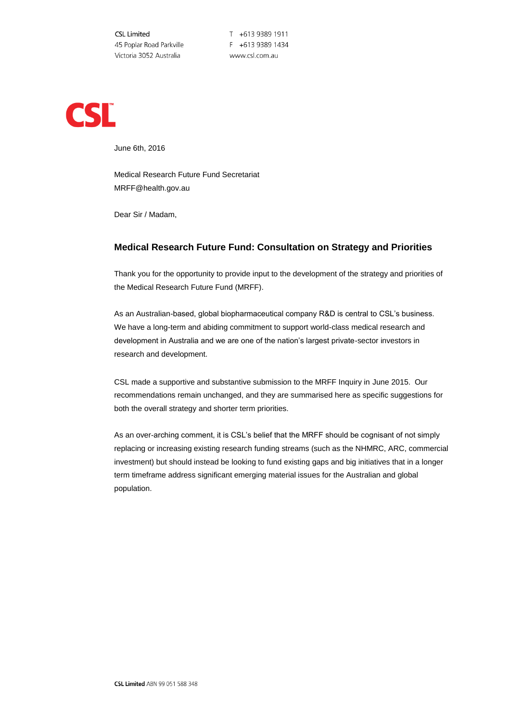**CSL Limited** 45 Poplar Road Parkville Victoria 3052 Australia

T +613 9389 1911 F +613 9389 1434 www.csl.com.au



June 6th, 2016

Medical Research Future Fund Secretariat MRFF@health.gov.au

Dear Sir / Madam,

# **Medical Research Future Fund: Consultation on Strategy and Priorities**

Thank you for the opportunity to provide input to the development of the strategy and priorities of the Medical Research Future Fund (MRFF).

As an Australian-based, global biopharmaceutical company R&D is central to CSL's business. We have a long-term and abiding commitment to support world-class medical research and development in Australia and we are one of the nation's largest private-sector investors in research and development.

CSL made a supportive and substantive submission to the MRFF Inquiry in June 2015. Our recommendations remain unchanged, and they are summarised here as specific suggestions for both the overall strategy and shorter term priorities.

As an over-arching comment, it is CSL's belief that the MRFF should be cognisant of not simply replacing or increasing existing research funding streams (such as the NHMRC, ARC, commercial investment) but should instead be looking to fund existing gaps and big initiatives that in a longer term timeframe address significant emerging material issues for the Australian and global population.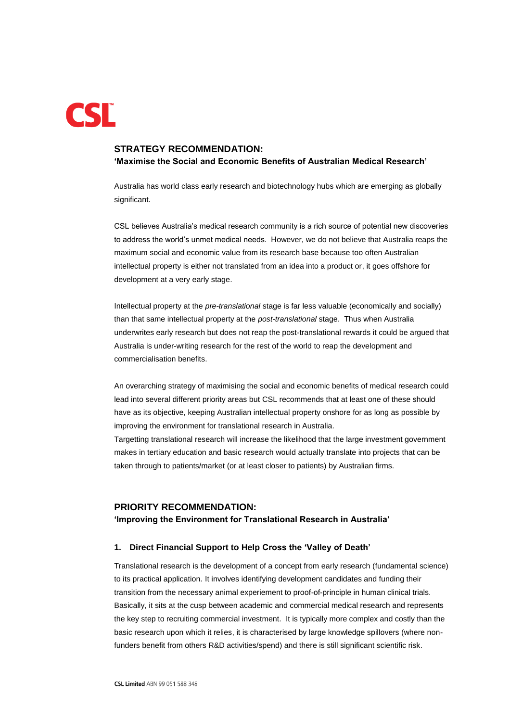

# **STRATEGY RECOMMENDATION: 'Maximise the Social and Economic Benefits of Australian Medical Research'**

Australia has world class early research and biotechnology hubs which are emerging as globally significant.

CSL believes Australia's medical research community is a rich source of potential new discoveries to address the world's unmet medical needs. However, we do not believe that Australia reaps the maximum social and economic value from its research base because too often Australian intellectual property is either not translated from an idea into a product or, it goes offshore for development at a very early stage.

Intellectual property at the *pre-translational* stage is far less valuable (economically and socially) than that same intellectual property at the *post-translational* stage. Thus when Australia underwrites early research but does not reap the post-translational rewards it could be argued that Australia is under-writing research for the rest of the world to reap the development and commercialisation benefits.

An overarching strategy of maximising the social and economic benefits of medical research could lead into several different priority areas but CSL recommends that at least one of these should have as its objective, keeping Australian intellectual property onshore for as long as possible by improving the environment for translational research in Australia.

Targetting translational research will increase the likelihood that the large investment government makes in tertiary education and basic research would actually translate into projects that can be taken through to patients/market (or at least closer to patients) by Australian firms.

# **PRIORITY RECOMMENDATION:**

#### **'Improving the Environment for Translational Research in Australia'**

# **1. Direct Financial Support to Help Cross the 'Valley of Death'**

Translational research is the development of a concept from early research (fundamental science) to its practical application. It involves identifying development candidates and funding their transition from the necessary animal experiement to proof-of-principle in human clinical trials. Basically, it sits at the cusp between academic and commercial medical research and represents the key step to recruiting commercial investment. It is typically more complex and costly than the basic research upon which it relies, it is characterised by large knowledge spillovers (where nonfunders benefit from others R&D activities/spend) and there is still significant scientific risk.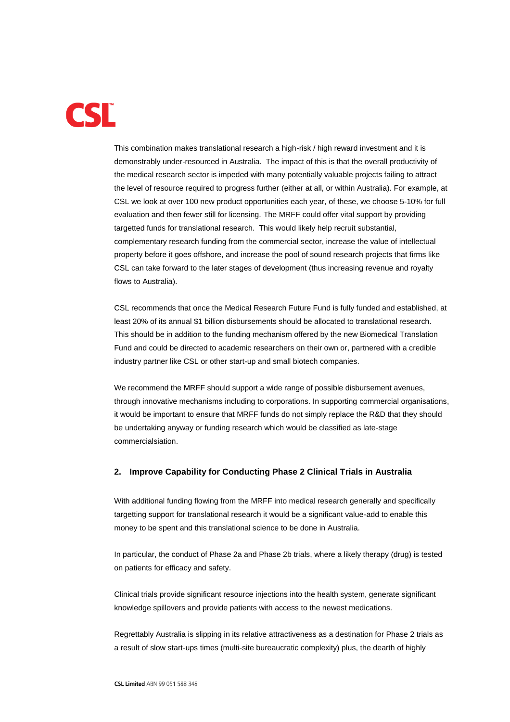

This combination makes translational research a high-risk / high reward investment and it is demonstrably under-resourced in Australia. The impact of this is that the overall productivity of the medical research sector is impeded with many potentially valuable projects failing to attract the level of resource required to progress further (either at all, or within Australia). For example, at CSL we look at over 100 new product opportunities each year, of these, we choose 5-10% for full evaluation and then fewer still for licensing. The MRFF could offer vital support by providing targetted funds for translational research. This would likely help recruit substantial, complementary research funding from the commercial sector, increase the value of intellectual property before it goes offshore, and increase the pool of sound research projects that firms like CSL can take forward to the later stages of development (thus increasing revenue and royalty flows to Australia).

CSL recommends that once the Medical Research Future Fund is fully funded and established, at least 20% of its annual \$1 billion disbursements should be allocated to translational research. This should be in addition to the funding mechanism offered by the new Biomedical Translation Fund and could be directed to academic researchers on their own or, partnered with a credible industry partner like CSL or other start-up and small biotech companies.

We recommend the MRFF should support a wide range of possible disbursement avenues, through innovative mechanisms including to corporations. In supporting commercial organisations, it would be important to ensure that MRFF funds do not simply replace the R&D that they should be undertaking anyway or funding research which would be classified as late-stage commercialsiation.

### **2. Improve Capability for Conducting Phase 2 Clinical Trials in Australia**

With additional funding flowing from the MRFF into medical research generally and specifically targetting support for translational research it would be a significant value-add to enable this money to be spent and this translational science to be done in Australia.

In particular, the conduct of Phase 2a and Phase 2b trials, where a likely therapy (drug) is tested on patients for efficacy and safety.

Clinical trials provide significant resource injections into the health system, generate significant knowledge spillovers and provide patients with access to the newest medications.

Regrettably Australia is slipping in its relative attractiveness as a destination for Phase 2 trials as a result of slow start-ups times (multi-site bureaucratic complexity) plus, the dearth of highly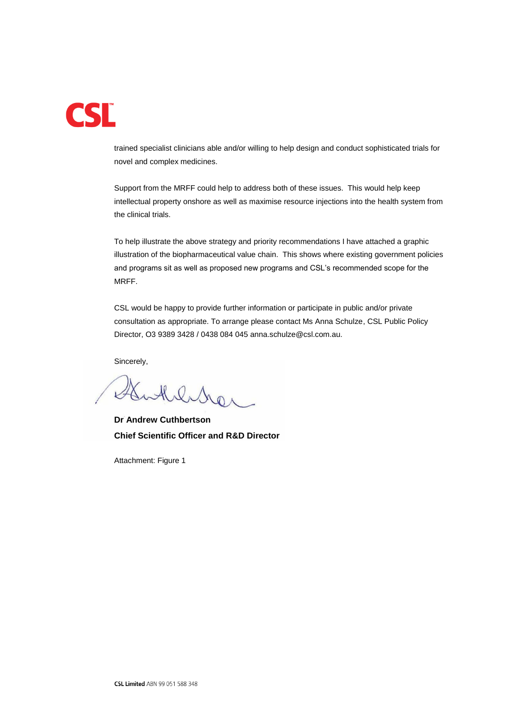

trained specialist clinicians able and/or willing to help design and conduct sophisticated trials for novel and complex medicines.

Support from the MRFF could help to address both of these issues. This would help keep intellectual property onshore as well as maximise resource injections into the health system from the clinical trials.

To help illustrate the above strategy and priority recommendations I have attached a graphic illustration of the biopharmaceutical value chain. This shows where existing government policies and programs sit as well as proposed new programs and CSL's recommended scope for the MRFF.

CSL would be happy to provide further information or participate in public and/or private consultation as appropriate. To arrange please contact Ms Anna Schulze, CSL Public Policy Director, O3 9389 3428 / 0438 084 045 anna.schulze@csl.com.au.

Sincerely,

Merrer

**Dr Andrew Cuthbertson Chief Scientific Officer and R&D Director** 

Attachment: Figure 1